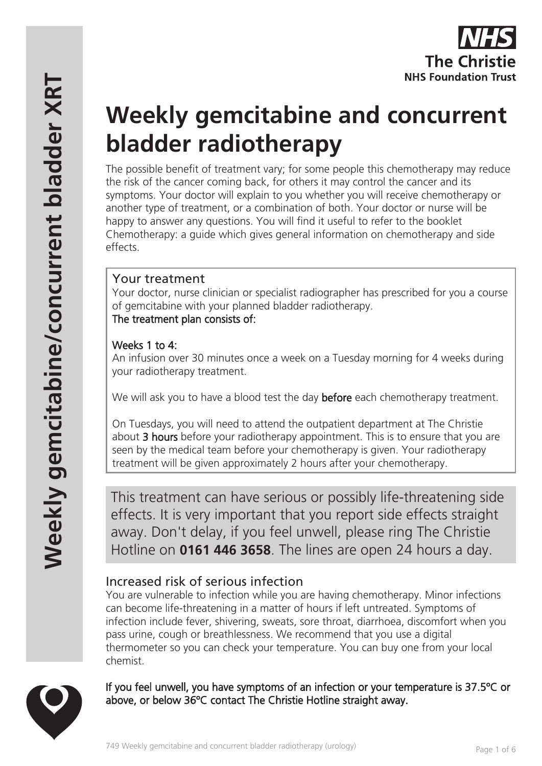# **Weekly gemcitabine and concurrent bladder radiotherapy**

The possible benefit of treatment vary; for some people this chemotherapy may reduce the risk of the cancer coming back, for others it may control the cancer and its symptoms. Your doctor will explain to you whether you will receive chemotherapy or another type of treatment, or a combination of both. Your doctor or nurse will be happy to answer any questions. You will find it useful to refer to the booklet Chemotherapy: a guide which gives general information on chemotherapy and side effects.

# Your treatment

Your doctor, nurse clinician or specialist radiographer has prescribed for you a course of gemcitabine with your planned bladder radiotherapy. The treatment plan consists of:

## Weeks 1 to 4:

An infusion over 30 minutes once a week on a Tuesday morning for 4 weeks during your radiotherapy treatment.

We will ask you to have a blood test the day **before** each chemotherapy treatment.

On Tuesdays, you will need to attend the outpatient department at The Christie about 3 hours before your radiotherapy appointment. This is to ensure that you are seen by the medical team before your chemotherapy is given. Your radiotherapy treatment will be given approximately 2 hours after your chemotherapy.

This treatment can have serious or possibly life-threatening side effects. It is very important that you report side effects straight away. Don't delay, if you feel unwell, please ring The Christie Hotline on **0161 446 3658**. The lines are open 24 hours a day.

# Increased risk of serious infection

You are vulnerable to infection while you are having chemotherapy. Minor infections can become life-threatening in a matter of hours if left untreated. Symptoms of infection include fever, shivering, sweats, sore throat, diarrhoea, discomfort when you pass urine, cough or breathlessness. We recommend that you use a digital thermometer so you can check your temperature. You can buy one from your local chemist.

If you feel unwell, you have symptoms of an infection or your temperature is 37.5ºC or above, or below 36ºC contact The Christie Hotline straight away.

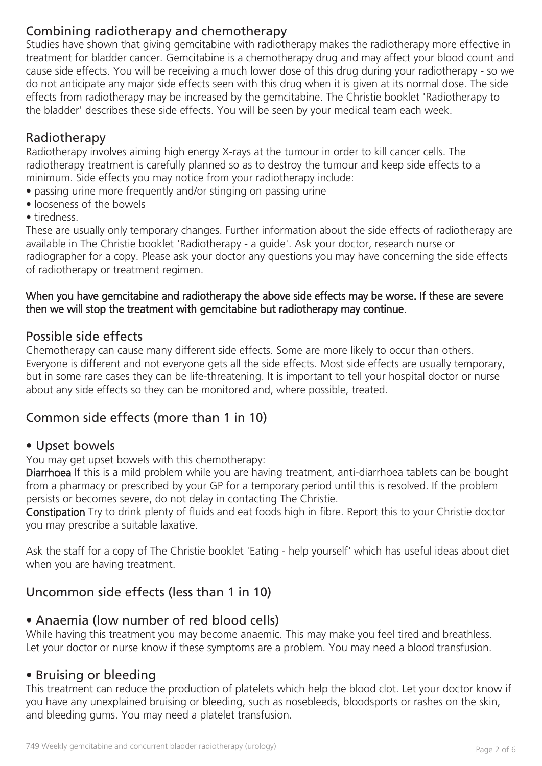# Combining radiotherapy and chemotherapy

Studies have shown that giving gemcitabine with radiotherapy makes the radiotherapy more effective in treatment for bladder cancer. Gemcitabine is a chemotherapy drug and may affect your blood count and cause side effects. You will be receiving a much lower dose of this drug during your radiotherapy - so we do not anticipate any major side effects seen with this drug when it is given at its normal dose. The side effects from radiotherapy may be increased by the gemcitabine. The Christie booklet 'Radiotherapy to the bladder' describes these side effects. You will be seen by your medical team each week.

## Radiotherapy

Radiotherapy involves aiming high energy X-rays at the tumour in order to kill cancer cells. The radiotherapy treatment is carefully planned so as to destroy the tumour and keep side effects to a minimum. Side effects you may notice from your radiotherapy include:

- passing urine more frequently and/or stinging on passing urine
- looseness of the bowels
- tiredness.

These are usually only temporary changes. Further information about the side effects of radiotherapy are available in The Christie booklet 'Radiotherapy - a guide'. Ask your doctor, research nurse or radiographer for a copy. Please ask your doctor any questions you may have concerning the side effects of radiotherapy or treatment regimen.

#### When you have gemcitabine and radiotherapy the above side effects may be worse. If these are severe then we will stop the treatment with gemcitabine but radiotherapy may continue.

## Possible side effects

Chemotherapy can cause many different side effects. Some are more likely to occur than others. Everyone is different and not everyone gets all the side effects. Most side effects are usually temporary, but in some rare cases they can be life-threatening. It is important to tell your hospital doctor or nurse about any side effects so they can be monitored and, where possible, treated.

# Common side effects (more than 1 in 10)

## • Upset bowels

You may get upset bowels with this chemotherapy:

Diarrhoea If this is a mild problem while you are having treatment, anti-diarrhoea tablets can be bought from a pharmacy or prescribed by your GP for a temporary period until this is resolved. If the problem persists or becomes severe, do not delay in contacting The Christie.

Constipation Try to drink plenty of fluids and eat foods high in fibre. Report this to your Christie doctor you may prescribe a suitable laxative.

Ask the staff for a copy of The Christie booklet 'Eating - help yourself' which has useful ideas about diet when you are having treatment.

# Uncommon side effects (less than 1 in 10)

## • Anaemia (low number of red blood cells)

While having this treatment you may become anaemic. This may make you feel tired and breathless. Let your doctor or nurse know if these symptoms are a problem. You may need a blood transfusion.

## • Bruising or bleeding

This treatment can reduce the production of platelets which help the blood clot. Let your doctor know if you have any unexplained bruising or bleeding, such as nosebleeds, bloodsports or rashes on the skin, and bleeding gums. You may need a platelet transfusion.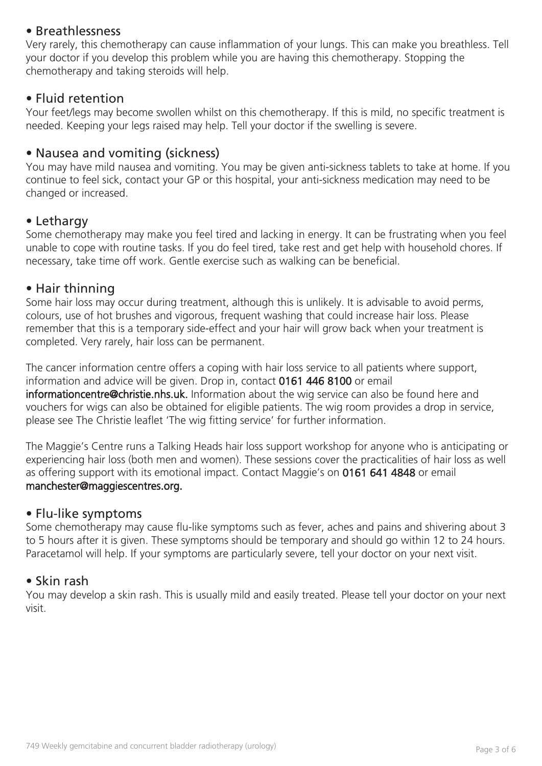## • Breathlessness

Very rarely, this chemotherapy can cause inflammation of your lungs. This can make you breathless. Tell your doctor if you develop this problem while you are having this chemotherapy. Stopping the chemotherapy and taking steroids will help.

#### • Fluid retention

Your feet/legs may become swollen whilst on this chemotherapy. If this is mild, no specific treatment is needed. Keeping your legs raised may help. Tell your doctor if the swelling is severe.

## • Nausea and vomiting (sickness)

You may have mild nausea and vomiting. You may be given anti-sickness tablets to take at home. If you continue to feel sick, contact your GP or this hospital, your anti-sickness medication may need to be changed or increased.

#### • Lethargy

Some chemotherapy may make you feel tired and lacking in energy. It can be frustrating when you feel unable to cope with routine tasks. If you do feel tired, take rest and get help with household chores. If necessary, take time off work. Gentle exercise such as walking can be beneficial.

#### • Hair thinning

Some hair loss may occur during treatment, although this is unlikely. It is advisable to avoid perms, colours, use of hot brushes and vigorous, frequent washing that could increase hair loss. Please remember that this is a temporary side-effect and your hair will grow back when your treatment is completed. Very rarely, hair loss can be permanent.

The cancer information centre offers a coping with hair loss service to all patients where support, information and advice will be given. Drop in, contact 0161 446 8100 or email informationcentre@christie.nhs.uk. Information about the wig service can also be found here and vouchers for wigs can also be obtained for eligible patients. The wig room provides a drop in service, please see The Christie leaflet 'The wig fitting service' for further information.

The Maggie's Centre runs a Talking Heads hair loss support workshop for anyone who is anticipating or experiencing hair loss (both men and women). These sessions cover the practicalities of hair loss as well as offering support with its emotional impact. Contact Maggie's on 0161 641 4848 or email manchester@maggiescentres.org.

#### • Flu-like symptoms

Some chemotherapy may cause flu-like symptoms such as fever, aches and pains and shivering about 3 to 5 hours after it is given. These symptoms should be temporary and should go within 12 to 24 hours. Paracetamol will help. If your symptoms are particularly severe, tell your doctor on your next visit.

#### • Skin rash

You may develop a skin rash. This is usually mild and easily treated. Please tell your doctor on your next visit.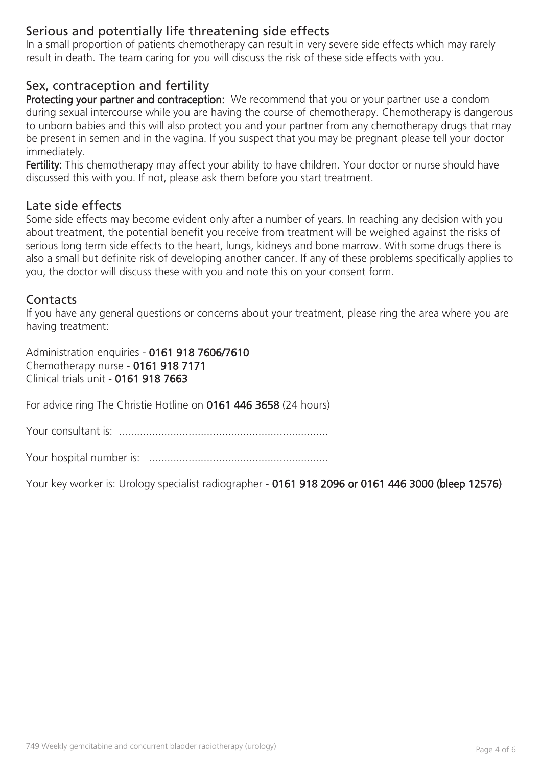## Serious and potentially life threatening side effects

In a small proportion of patients chemotherapy can result in very severe side effects which may rarely result in death. The team caring for you will discuss the risk of these side effects with you.

## Sex, contraception and fertility

Protecting your partner and contraception: We recommend that you or your partner use a condom during sexual intercourse while you are having the course of chemotherapy. Chemotherapy is dangerous to unborn babies and this will also protect you and your partner from any chemotherapy drugs that may be present in semen and in the vagina. If you suspect that you may be pregnant please tell your doctor immediately.

Fertility: This chemotherapy may affect your ability to have children. Your doctor or nurse should have discussed this with you. If not, please ask them before you start treatment.

#### Late side effects

Some side effects may become evident only after a number of years. In reaching any decision with you about treatment, the potential benefit you receive from treatment will be weighed against the risks of serious long term side effects to the heart, lungs, kidneys and bone marrow. With some drugs there is also a small but definite risk of developing another cancer. If any of these problems specifically applies to you, the doctor will discuss these with you and note this on your consent form.

#### **Contacts**

If you have any general questions or concerns about your treatment, please ring the area where you are having treatment:

Administration enquiries - 0161 918 7606/7610 Chemotherapy nurse - 0161 918 7171 Clinical trials unit - 0161 918 7663

For advice ring The Christie Hotline on 0161 446 3658 (24 hours)

Your consultant is: .....................................................................

Your hospital number is: ...........................................................

Your key worker is: Urology specialist radiographer - 0161 918 2096 or 0161 446 3000 (bleep 12576)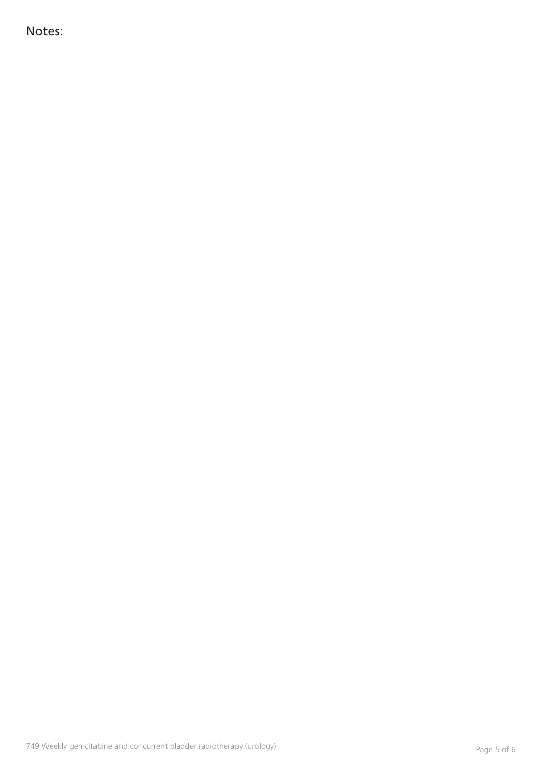Notes: